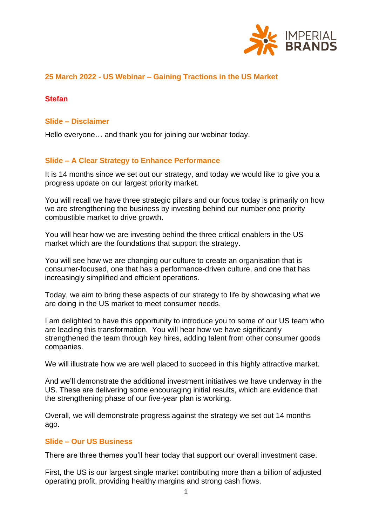

# **25 March 2022 - US Webinar – Gaining Tractions in the US Market**

## **Stefan**

#### **Slide – Disclaimer**

Hello everyone… and thank you for joining our webinar today.

# **Slide – A Clear Strategy to Enhance Performance**

It is 14 months since we set out our strategy, and today we would like to give you a progress update on our largest priority market.

You will recall we have three strategic pillars and our focus today is primarily on how we are strengthening the business by investing behind our number one priority combustible market to drive growth.

You will hear how we are investing behind the three critical enablers in the US market which are the foundations that support the strategy.

You will see how we are changing our culture to create an organisation that is consumer-focused, one that has a performance-driven culture, and one that has increasingly simplified and efficient operations.

Today, we aim to bring these aspects of our strategy to life by showcasing what we are doing in the US market to meet consumer needs.

I am delighted to have this opportunity to introduce you to some of our US team who are leading this transformation. You will hear how we have significantly strengthened the team through key hires, adding talent from other consumer goods companies.

We will illustrate how we are well placed to succeed in this highly attractive market.

And we'll demonstrate the additional investment initiatives we have underway in the US. These are delivering some encouraging initial results, which are evidence that the strengthening phase of our five-year plan is working.

Overall, we will demonstrate progress against the strategy we set out 14 months ago.

## **Slide – Our US Business**

There are three themes you'll hear today that support our overall investment case.

First, the US is our largest single market contributing more than a billion of adjusted operating profit, providing healthy margins and strong cash flows.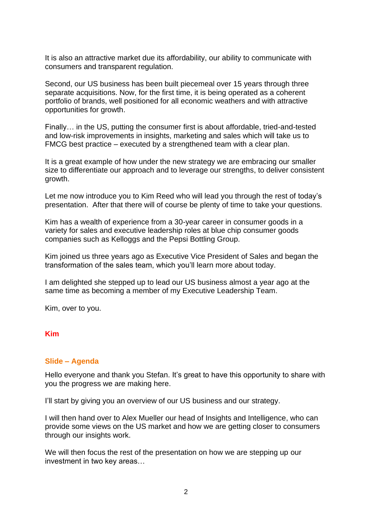It is also an attractive market due its affordability, our ability to communicate with consumers and transparent regulation.

Second, our US business has been built piecemeal over 15 years through three separate acquisitions. Now, for the first time, it is being operated as a coherent portfolio of brands, well positioned for all economic weathers and with attractive opportunities for growth.

Finally… in the US, putting the consumer first is about affordable, tried-and-tested and low-risk improvements in insights, marketing and sales which will take us to FMCG best practice – executed by a strengthened team with a clear plan.

It is a great example of how under the new strategy we are embracing our smaller size to differentiate our approach and to leverage our strengths, to deliver consistent growth.

Let me now introduce you to Kim Reed who will lead you through the rest of today's presentation. After that there will of course be plenty of time to take your questions.

Kim has a wealth of experience from a 30-year career in consumer goods in a variety for sales and executive leadership roles at blue chip consumer goods companies such as Kelloggs and the Pepsi Bottling Group.

Kim joined us three years ago as Executive Vice President of Sales and began the transformation of the sales team, which you'll learn more about today.

I am delighted she stepped up to lead our US business almost a year ago at the same time as becoming a member of my Executive Leadership Team.

Kim, over to you.

#### **Kim**

#### **Slide – Agenda**

Hello everyone and thank you Stefan. It's great to have this opportunity to share with you the progress we are making here.

I'll start by giving you an overview of our US business and our strategy.

I will then hand over to Alex Mueller our head of Insights and Intelligence, who can provide some views on the US market and how we are getting closer to consumers through our insights work.

We will then focus the rest of the presentation on how we are stepping up our investment in two key areas…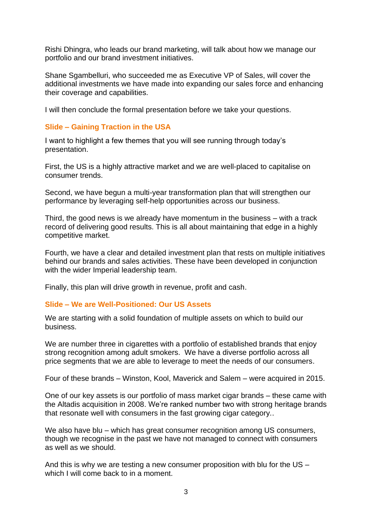Rishi Dhingra, who leads our brand marketing, will talk about how we manage our portfolio and our brand investment initiatives.

Shane Sgambelluri, who succeeded me as Executive VP of Sales, will cover the additional investments we have made into expanding our sales force and enhancing their coverage and capabilities.

I will then conclude the formal presentation before we take your questions.

# **Slide – Gaining Traction in the USA**

I want to highlight a few themes that you will see running through today's presentation.

First, the US is a highly attractive market and we are well-placed to capitalise on consumer trends.

Second, we have begun a multi-year transformation plan that will strengthen our performance by leveraging self-help opportunities across our business.

Third, the good news is we already have momentum in the business – with a track record of delivering good results. This is all about maintaining that edge in a highly competitive market.

Fourth, we have a clear and detailed investment plan that rests on multiple initiatives behind our brands and sales activities. These have been developed in conjunction with the wider Imperial leadership team.

Finally, this plan will drive growth in revenue, profit and cash.

### **Slide – We are Well-Positioned: Our US Assets**

We are starting with a solid foundation of multiple assets on which to build our business.

We are number three in cigarettes with a portfolio of established brands that enjoy strong recognition among adult smokers. We have a diverse portfolio across all price segments that we are able to leverage to meet the needs of our consumers.

Four of these brands – Winston, Kool, Maverick and Salem – were acquired in 2015.

One of our key assets is our portfolio of mass market cigar brands – these came with the Altadis acquisition in 2008. We're ranked number two with strong heritage brands that resonate well with consumers in the fast growing cigar category..

We also have blu – which has great consumer recognition among US consumers, though we recognise in the past we have not managed to connect with consumers as well as we should.

And this is why we are testing a new consumer proposition with blu for the US – which I will come back to in a moment.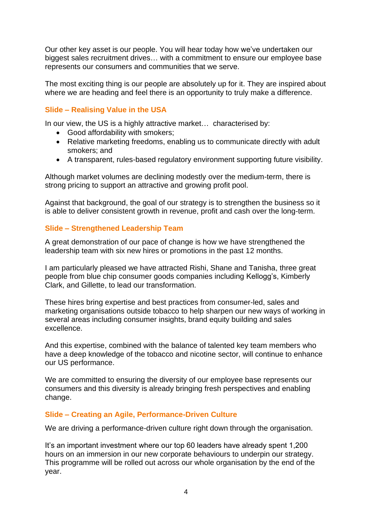Our other key asset is our people. You will hear today how we've undertaken our biggest sales recruitment drives… with a commitment to ensure our employee base represents our consumers and communities that we serve.

The most exciting thing is our people are absolutely up for it. They are inspired about where we are heading and feel there is an opportunity to truly make a difference.

# **Slide – Realising Value in the USA**

In our view, the US is a highly attractive market... characterised by:

- Good affordability with smokers;
- Relative marketing freedoms, enabling us to communicate directly with adult smokers; and
- A transparent, rules-based regulatory environment supporting future visibility.

Although market volumes are declining modestly over the medium-term, there is strong pricing to support an attractive and growing profit pool.

Against that background, the goal of our strategy is to strengthen the business so it is able to deliver consistent growth in revenue, profit and cash over the long-term.

### **Slide – Strengthened Leadership Team**

A great demonstration of our pace of change is how we have strengthened the leadership team with six new hires or promotions in the past 12 months.

I am particularly pleased we have attracted Rishi, Shane and Tanisha, three great people from blue chip consumer goods companies including Kellogg's, Kimberly Clark, and Gillette, to lead our transformation.

These hires bring expertise and best practices from consumer-led, sales and marketing organisations outside tobacco to help sharpen our new ways of working in several areas including consumer insights, brand equity building and sales excellence.

And this expertise, combined with the balance of talented key team members who have a deep knowledge of the tobacco and nicotine sector, will continue to enhance our US performance.

We are committed to ensuring the diversity of our employee base represents our consumers and this diversity is already bringing fresh perspectives and enabling change.

### **Slide – Creating an Agile, Performance-Driven Culture**

We are driving a performance-driven culture right down through the organisation.

It's an important investment where our top 60 leaders have already spent 1,200 hours on an immersion in our new corporate behaviours to underpin our strategy. This programme will be rolled out across our whole organisation by the end of the year.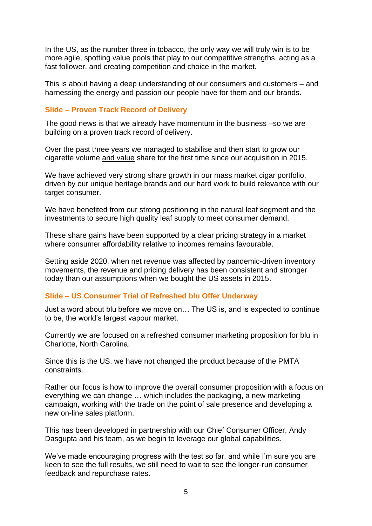In the US, as the number three in tobacco, the only way we will truly win is to be more agile, spotting value pools that play to our competitive strengths, acting as a fast follower, and creating competition and choice in the market.

This is about having a deep understanding of our consumers and customers – and harnessing the energy and passion our people have for them and our brands.

### **Slide – Proven Track Record of Delivery**

The good news is that we already have momentum in the business –so we are building on a proven track record of delivery.

Over the past three years we managed to stabilise and then start to grow our cigarette volume and value share for the first time since our acquisition in 2015.

We have achieved very strong share growth in our mass market cigar portfolio, driven by our unique heritage brands and our hard work to build relevance with our target consumer.

We have benefited from our strong positioning in the natural leaf segment and the investments to secure high quality leaf supply to meet consumer demand.

These share gains have been supported by a clear pricing strategy in a market where consumer affordability relative to incomes remains favourable.

Setting aside 2020, when net revenue was affected by pandemic-driven inventory movements, the revenue and pricing delivery has been consistent and stronger today than our assumptions when we bought the US assets in 2015.

#### **Slide – US Consumer Trial of Refreshed blu Offer Underway**

Just a word about blu before we move on… The US is, and is expected to continue to be, the world's largest vapour market.

Currently we are focused on a refreshed consumer marketing proposition for blu in Charlotte, North Carolina.

Since this is the US, we have not changed the product because of the PMTA constraints.

Rather our focus is how to improve the overall consumer proposition with a focus on everything we can change … which includes the packaging, a new marketing campaign, working with the trade on the point of sale presence and developing a new on-line sales platform.

This has been developed in partnership with our Chief Consumer Officer, Andy Dasgupta and his team, as we begin to leverage our global capabilities.

We've made encouraging progress with the test so far, and while I'm sure you are keen to see the full results, we still need to wait to see the longer-run consumer feedback and repurchase rates.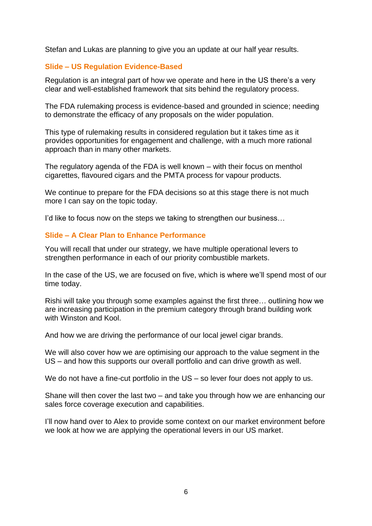Stefan and Lukas are planning to give you an update at our half year results.

# **Slide – US Regulation Evidence-Based**

Regulation is an integral part of how we operate and here in the US there's a very clear and well-established framework that sits behind the regulatory process.

The FDA rulemaking process is evidence-based and grounded in science; needing to demonstrate the efficacy of any proposals on the wider population.

This type of rulemaking results in considered regulation but it takes time as it provides opportunities for engagement and challenge, with a much more rational approach than in many other markets.

The regulatory agenda of the FDA is well known – with their focus on menthol cigarettes, flavoured cigars and the PMTA process for vapour products.

We continue to prepare for the FDA decisions so at this stage there is not much more I can say on the topic today.

I'd like to focus now on the steps we taking to strengthen our business…

# **Slide – A Clear Plan to Enhance Performance**

You will recall that under our strategy, we have multiple operational levers to strengthen performance in each of our priority combustible markets.

In the case of the US, we are focused on five, which is where we'll spend most of our time today.

Rishi will take you through some examples against the first three… outlining how we are increasing participation in the premium category through brand building work with Winston and Kool.

And how we are driving the performance of our local jewel cigar brands.

We will also cover how we are optimising our approach to the value segment in the US – and how this supports our overall portfolio and can drive growth as well.

We do not have a fine-cut portfolio in the US – so lever four does not apply to us.

Shane will then cover the last two – and take you through how we are enhancing our sales force coverage execution and capabilities.

I'll now hand over to Alex to provide some context on our market environment before we look at how we are applying the operational levers in our US market.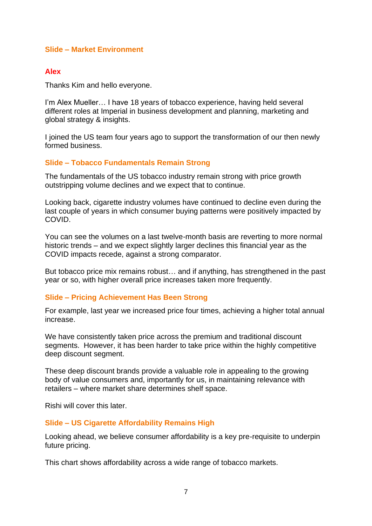#### **Slide – Market Environment**

### **Alex**

Thanks Kim and hello everyone.

I'm Alex Mueller… I have 18 years of tobacco experience, having held several different roles at Imperial in business development and planning, marketing and global strategy & insights.

I joined the US team four years ago to support the transformation of our then newly formed business.

#### **Slide – Tobacco Fundamentals Remain Strong**

The fundamentals of the US tobacco industry remain strong with price growth outstripping volume declines and we expect that to continue.

Looking back, cigarette industry volumes have continued to decline even during the last couple of years in which consumer buying patterns were positively impacted by COVID.

You can see the volumes on a last twelve-month basis are reverting to more normal historic trends – and we expect slightly larger declines this financial year as the COVID impacts recede, against a strong comparator.

But tobacco price mix remains robust… and if anything, has strengthened in the past year or so, with higher overall price increases taken more frequently.

#### **Slide – Pricing Achievement Has Been Strong**

For example, last year we increased price four times, achieving a higher total annual increase.

We have consistently taken price across the premium and traditional discount segments. However, it has been harder to take price within the highly competitive deep discount segment.

These deep discount brands provide a valuable role in appealing to the growing body of value consumers and, importantly for us, in maintaining relevance with retailers – where market share determines shelf space.

Rishi will cover this later.

#### **Slide – US Cigarette Affordability Remains High**

Looking ahead, we believe consumer affordability is a key pre-requisite to underpin future pricing.

This chart shows affordability across a wide range of tobacco markets.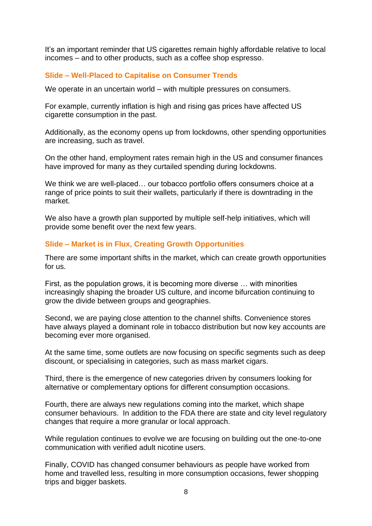It's an important reminder that US cigarettes remain highly affordable relative to local incomes – and to other products, such as a coffee shop espresso.

# **Slide – Well-Placed to Capitalise on Consumer Trends**

We operate in an uncertain world – with multiple pressures on consumers.

For example, currently inflation is high and rising gas prices have affected US cigarette consumption in the past.

Additionally, as the economy opens up from lockdowns, other spending opportunities are increasing, such as travel.

On the other hand, employment rates remain high in the US and consumer finances have improved for many as they curtailed spending during lockdowns.

We think we are well-placed… our tobacco portfolio offers consumers choice at a range of price points to suit their wallets, particularly if there is downtrading in the market.

We also have a growth plan supported by multiple self-help initiatives, which will provide some benefit over the next few years.

# **Slide – Market is in Flux, Creating Growth Opportunities**

There are some important shifts in the market, which can create growth opportunities for us.

First, as the population grows, it is becoming more diverse … with minorities increasingly shaping the broader US culture, and income bifurcation continuing to grow the divide between groups and geographies.

Second, we are paying close attention to the channel shifts. Convenience stores have always played a dominant role in tobacco distribution but now key accounts are becoming ever more organised.

At the same time, some outlets are now focusing on specific segments such as deep discount, or specialising in categories, such as mass market cigars.

Third, there is the emergence of new categories driven by consumers looking for alternative or complementary options for different consumption occasions.

Fourth, there are always new regulations coming into the market, which shape consumer behaviours. In addition to the FDA there are state and city level regulatory changes that require a more granular or local approach.

While regulation continues to evolve we are focusing on building out the one-to-one communication with verified adult nicotine users.

Finally, COVID has changed consumer behaviours as people have worked from home and travelled less, resulting in more consumption occasions, fewer shopping trips and bigger baskets.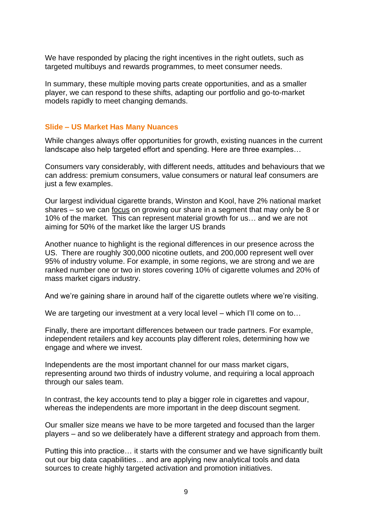We have responded by placing the right incentives in the right outlets, such as targeted multibuys and rewards programmes, to meet consumer needs.

In summary, these multiple moving parts create opportunities, and as a smaller player, we can respond to these shifts, adapting our portfolio and go-to-market models rapidly to meet changing demands.

#### **Slide – US Market Has Many Nuances**

While changes always offer opportunities for growth, existing nuances in the current landscape also help targeted effort and spending. Here are three examples…

Consumers vary considerably, with different needs, attitudes and behaviours that we can address: premium consumers, value consumers or natural leaf consumers are just a few examples.

Our largest individual cigarette brands, Winston and Kool, have 2% national market shares – so we can focus on growing our share in a segment that may only be 8 or 10% of the market. This can represent material growth for us… and we are not aiming for 50% of the market like the larger US brands

Another nuance to highlight is the regional differences in our presence across the US. There are roughly 300,000 nicotine outlets, and 200,000 represent well over 95% of industry volume. For example, in some regions, we are strong and we are ranked number one or two in stores covering 10% of cigarette volumes and 20% of mass market cigars industry.

And we're gaining share in around half of the cigarette outlets where we're visiting.

We are targeting our investment at a very local level – which I'll come on to...

Finally, there are important differences between our trade partners. For example, independent retailers and key accounts play different roles, determining how we engage and where we invest.

Independents are the most important channel for our mass market cigars, representing around two thirds of industry volume, and requiring a local approach through our sales team.

In contrast, the key accounts tend to play a bigger role in cigarettes and vapour, whereas the independents are more important in the deep discount segment.

Our smaller size means we have to be more targeted and focused than the larger players – and so we deliberately have a different strategy and approach from them.

Putting this into practice… it starts with the consumer and we have significantly built out our big data capabilities… and are applying new analytical tools and data sources to create highly targeted activation and promotion initiatives.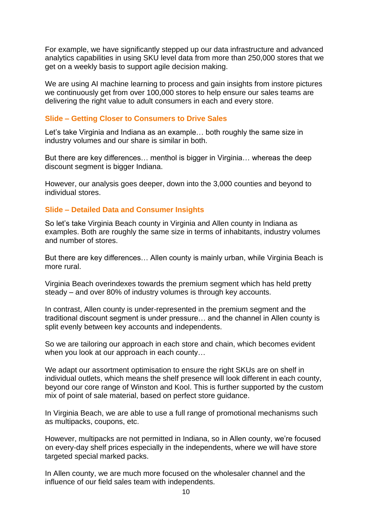For example, we have significantly stepped up our data infrastructure and advanced analytics capabilities in using SKU level data from more than 250,000 stores that we get on a weekly basis to support agile decision making.

We are using AI machine learning to process and gain insights from instore pictures we continuously get from over 100,000 stores to help ensure our sales teams are delivering the right value to adult consumers in each and every store.

### **Slide – Getting Closer to Consumers to Drive Sales**

Let's take Virginia and Indiana as an example… both roughly the same size in industry volumes and our share is similar in both.

But there are key differences… menthol is bigger in Virginia… whereas the deep discount segment is bigger Indiana.

However, our analysis goes deeper, down into the 3,000 counties and beyond to individual stores.

#### **Slide – Detailed Data and Consumer Insights**

So let's take Virginia Beach county in Virginia and Allen county in Indiana as examples. Both are roughly the same size in terms of inhabitants, industry volumes and number of stores.

But there are key differences… Allen county is mainly urban, while Virginia Beach is more rural.

Virginia Beach overindexes towards the premium segment which has held pretty steady – and over 80% of industry volumes is through key accounts.

In contrast, Allen county is under-represented in the premium segment and the traditional discount segment is under pressure… and the channel in Allen county is split evenly between key accounts and independents.

So we are tailoring our approach in each store and chain, which becomes evident when you look at our approach in each county…

We adapt our assortment optimisation to ensure the right SKUs are on shelf in individual outlets, which means the shelf presence will look different in each county, beyond our core range of Winston and Kool. This is further supported by the custom mix of point of sale material, based on perfect store guidance.

In Virginia Beach, we are able to use a full range of promotional mechanisms such as multipacks, coupons, etc.

However, multipacks are not permitted in Indiana, so in Allen county, we're focused on every-day shelf prices especially in the independents, where we will have store targeted special marked packs.

In Allen county, we are much more focused on the wholesaler channel and the influence of our field sales team with independents.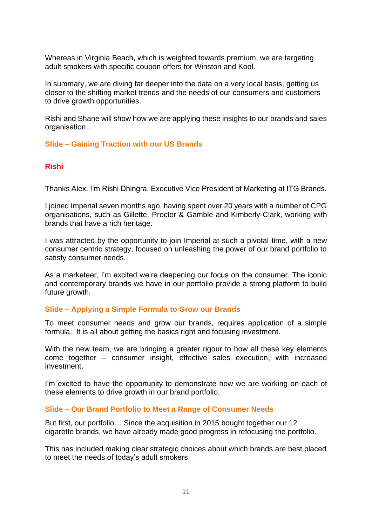Whereas in Virginia Beach, which is weighted towards premium, we are targeting adult smokers with specific coupon offers for Winston and Kool.

In summary, we are diving far deeper into the data on a very local basis, getting us closer to the shifting market trends and the needs of our consumers and customers to drive growth opportunities.

Rishi and Shane will show how we are applying these insights to our brands and sales organisation…

# **Slide – Gaining Traction with our US Brands**

### **Rishi**

Thanks Alex. I'm Rishi Dhingra, Executive Vice President of Marketing at ITG Brands.

I joined Imperial seven months ago, having spent over 20 years with a number of CPG organisations, such as Gillette, Proctor & Gamble and Kimberly-Clark, working with brands that have a rich heritage.

I was attracted by the opportunity to join Imperial at such a pivotal time, with a new consumer centric strategy, focused on unleashing the power of our brand portfolio to satisfy consumer needs.

As a marketeer, I'm excited we're deepening our focus on the consumer. The iconic and contemporary brands we have in our portfolio provide a strong platform to build future growth.

### **Slide – Applying a Simple Formula to Grow our Brands**

To meet consumer needs and grow our brands, requires application of a simple formula. It is all about getting the basics right and focusing investment.

With the new team, we are bringing a greater rigour to how all these key elements come together – consumer insight, effective sales execution, with increased investment.

I'm excited to have the opportunity to demonstrate how we are working on each of these elements to drive growth in our brand portfolio.

### **Slide – Our Brand Portfolio to Meet a Range of Consumer Needs**

But first, our portfolio… Since the acquisition in 2015 bought together our 12 cigarette brands, we have already made good progress in refocusing the portfolio.

This has included making clear strategic choices about which brands are best placed to meet the needs of today's adult smokers.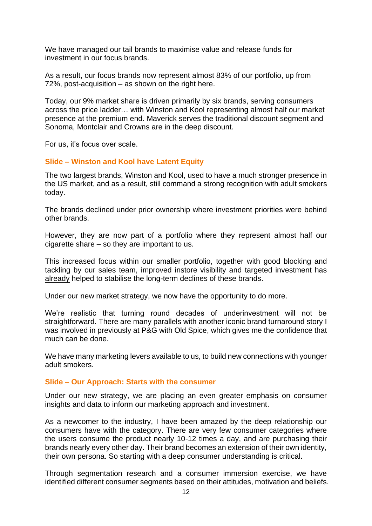We have managed our tail brands to maximise value and release funds for investment in our focus brands.

As a result, our focus brands now represent almost 83% of our portfolio, up from 72%, post-acquisition – as shown on the right here.

Today, our 9% market share is driven primarily by six brands, serving consumers across the price ladder… with Winston and Kool representing almost half our market presence at the premium end. Maverick serves the traditional discount segment and Sonoma, Montclair and Crowns are in the deep discount.

For us, it's focus over scale.

# **Slide – Winston and Kool have Latent Equity**

The two largest brands, Winston and Kool, used to have a much stronger presence in the US market, and as a result, still command a strong recognition with adult smokers today.

The brands declined under prior ownership where investment priorities were behind other brands.

However, they are now part of a portfolio where they represent almost half our cigarette share – so they are important to us.

This increased focus within our smaller portfolio, together with good blocking and tackling by our sales team, improved instore visibility and targeted investment has already helped to stabilise the long-term declines of these brands.

Under our new market strategy, we now have the opportunity to do more.

We're realistic that turning round decades of underinvestment will not be straightforward. There are many parallels with another iconic brand turnaround story I was involved in previously at P&G with Old Spice, which gives me the confidence that much can be done.

We have many marketing levers available to us, to build new connections with younger adult smokers.

### **Slide – Our Approach: Starts with the consumer**

Under our new strategy, we are placing an even greater emphasis on consumer insights and data to inform our marketing approach and investment.

As a newcomer to the industry, I have been amazed by the deep relationship our consumers have with the category. There are very few consumer categories where the users consume the product nearly 10-12 times a day, and are purchasing their brands nearly every other day. Their brand becomes an extension of their own identity, their own persona. So starting with a deep consumer understanding is critical.

Through segmentation research and a consumer immersion exercise, we have identified different consumer segments based on their attitudes, motivation and beliefs.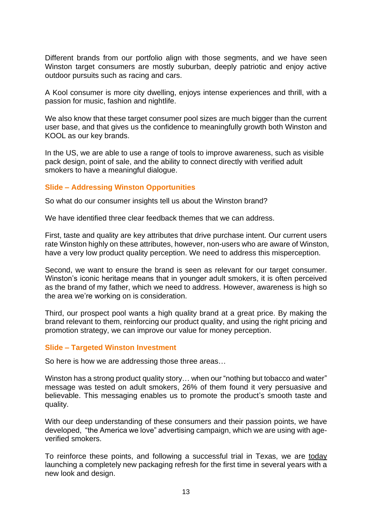Different brands from our portfolio align with those segments, and we have seen Winston target consumers are mostly suburban, deeply patriotic and enjoy active outdoor pursuits such as racing and cars.

A Kool consumer is more city dwelling, enjoys intense experiences and thrill, with a passion for music, fashion and nightlife.

We also know that these target consumer pool sizes are much bigger than the current user base, and that gives us the confidence to meaningfully growth both Winston and KOOL as our key brands.

In the US, we are able to use a range of tools to improve awareness, such as visible pack design, point of sale, and the ability to connect directly with verified adult smokers to have a meaningful dialogue.

### **Slide – Addressing Winston Opportunities**

So what do our consumer insights tell us about the Winston brand?

We have identified three clear feedback themes that we can address.

First, taste and quality are key attributes that drive purchase intent. Our current users rate Winston highly on these attributes, however, non-users who are aware of Winston, have a very low product quality perception. We need to address this misperception.

Second, we want to ensure the brand is seen as relevant for our target consumer. Winston's iconic heritage means that in younger adult smokers, it is often perceived as the brand of my father, which we need to address. However, awareness is high so the area we're working on is consideration.

Third, our prospect pool wants a high quality brand at a great price. By making the brand relevant to them, reinforcing our product quality, and using the right pricing and promotion strategy, we can improve our value for money perception.

#### **Slide – Targeted Winston Investment**

So here is how we are addressing those three areas…

Winston has a strong product quality story… when our "nothing but tobacco and water" message was tested on adult smokers, 26% of them found it very persuasive and believable. This messaging enables us to promote the product's smooth taste and quality.

With our deep understanding of these consumers and their passion points, we have developed, "the America we love" advertising campaign, which we are using with ageverified smokers.

To reinforce these points, and following a successful trial in Texas, we are today launching a completely new packaging refresh for the first time in several years with a new look and design.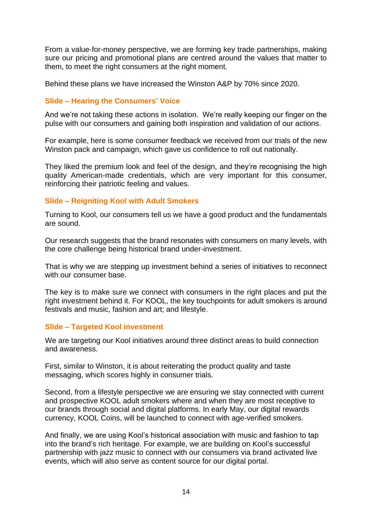From a value-for-money perspective, we are forming key trade partnerships, making sure our pricing and promotional plans are centred around the values that matter to them, to meet the right consumers at the right moment.

Behind these plans we have increased the Winston A&P by 70% since 2020.

# **Slide – Hearing the Consumers' Voice**

And we're not taking these actions in isolation. We're really keeping our finger on the pulse with our consumers and gaining both inspiration and validation of our actions.

For example, here is some consumer feedback we received from our trials of the new Winston pack and campaign, which gave us confidence to roll out nationally.

They liked the premium look and feel of the design, and they're recognising the high quality American-made credentials, which are very important for this consumer, reinforcing their patriotic feeling and values.

# **Slide – Reigniting Kool with Adult Smokers**

Turning to Kool, our consumers tell us we have a good product and the fundamentals are sound.

Our research suggests that the brand resonates with consumers on many levels, with the core challenge being historical brand under-investment.

That is why we are stepping up investment behind a series of initiatives to reconnect with our consumer base.

The key is to make sure we connect with consumers in the right places and put the right investment behind it. For KOOL, the key touchpoints for adult smokers is around festivals and music, fashion and art; and lifestyle.

### **Slide – Targeted Kool investment**

We are targeting our Kool initiatives around three distinct areas to build connection and awareness.

First, similar to Winston, it is about reiterating the product quality and taste messaging, which scores highly in consumer trials.

Second, from a lifestyle perspective we are ensuring we stay connected with current and prospective KOOL adult smokers where and when they are most receptive to our brands through social and digital platforms. In early May, our digital rewards currency, KOOL Coins, will be launched to connect with age-verified smokers.

And finally, we are using Kool's historical association with music and fashion to tap into the brand's rich heritage. For example, we are building on Kool's successful partnership with jazz music to connect with our consumers via brand activated live events, which will also serve as content source for our digital portal.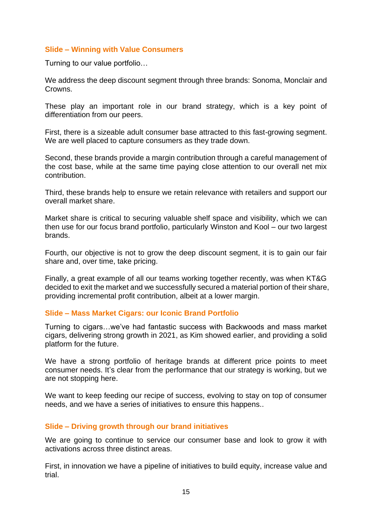# **Slide – Winning with Value Consumers**

Turning to our value portfolio…

We address the deep discount segment through three brands: Sonoma, Monclair and Crowns.

These play an important role in our brand strategy, which is a key point of differentiation from our peers.

First, there is a sizeable adult consumer base attracted to this fast-growing segment. We are well placed to capture consumers as they trade down.

Second, these brands provide a margin contribution through a careful management of the cost base, while at the same time paying close attention to our overall net mix contribution.

Third, these brands help to ensure we retain relevance with retailers and support our overall market share.

Market share is critical to securing valuable shelf space and visibility, which we can then use for our focus brand portfolio, particularly Winston and Kool – our two largest brands.

Fourth, our objective is not to grow the deep discount segment, it is to gain our fair share and, over time, take pricing.

Finally, a great example of all our teams working together recently, was when KT&G decided to exit the market and we successfully secured a material portion of their share, providing incremental profit contribution, albeit at a lower margin.

### **Slide – Mass Market Cigars: our Iconic Brand Portfolio**

Turning to cigars…we've had fantastic success with Backwoods and mass market cigars, delivering strong growth in 2021, as Kim showed earlier, and providing a solid platform for the future.

We have a strong portfolio of heritage brands at different price points to meet consumer needs. It's clear from the performance that our strategy is working, but we are not stopping here.

We want to keep feeding our recipe of success, evolving to stay on top of consumer needs, and we have a series of initiatives to ensure this happens..

### **Slide – Driving growth through our brand initiatives**

We are going to continue to service our consumer base and look to grow it with activations across three distinct areas.

First, in innovation we have a pipeline of initiatives to build equity, increase value and trial.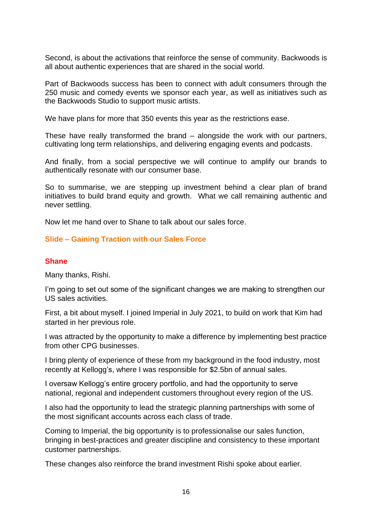Second, is about the activations that reinforce the sense of community. Backwoods is all about authentic experiences that are shared in the social world.

Part of Backwoods success has been to connect with adult consumers through the 250 music and comedy events we sponsor each year, as well as initiatives such as the Backwoods Studio to support music artists.

We have plans for more that 350 events this year as the restrictions ease.

These have really transformed the brand – alongside the work with our partners, cultivating long term relationships, and delivering engaging events and podcasts.

And finally, from a social perspective we will continue to amplify our brands to authentically resonate with our consumer base.

So to summarise, we are stepping up investment behind a clear plan of brand initiatives to build brand equity and growth. What we call remaining authentic and never settling.

Now let me hand over to Shane to talk about our sales force.

# **Slide – Gaining Traction with our Sales Force**

### **Shane**

Many thanks, Rishi.

I'm going to set out some of the significant changes we are making to strengthen our US sales activities.

First, a bit about myself. I joined Imperial in July 2021, to build on work that Kim had started in her previous role.

I was attracted by the opportunity to make a difference by implementing best practice from other CPG businesses.

I bring plenty of experience of these from my background in the food industry, most recently at Kellogg's, where I was responsible for \$2.5bn of annual sales.

I oversaw Kellogg's entire grocery portfolio, and had the opportunity to serve national, regional and independent customers throughout every region of the US.

I also had the opportunity to lead the strategic planning partnerships with some of the most significant accounts across each class of trade.

Coming to Imperial, the big opportunity is to professionalise our sales function, bringing in best-practices and greater discipline and consistency to these important customer partnerships.

These changes also reinforce the brand investment Rishi spoke about earlier.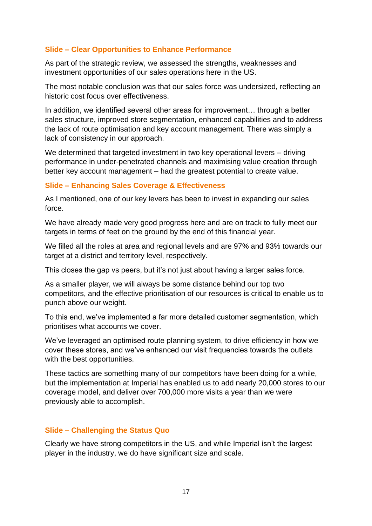# **Slide – Clear Opportunities to Enhance Performance**

As part of the strategic review, we assessed the strengths, weaknesses and investment opportunities of our sales operations here in the US.

The most notable conclusion was that our sales force was undersized, reflecting an historic cost focus over effectiveness.

In addition, we identified several other areas for improvement… through a better sales structure, improved store segmentation, enhanced capabilities and to address the lack of route optimisation and key account management. There was simply a lack of consistency in our approach.

We determined that targeted investment in two key operational levers – driving performance in under-penetrated channels and maximising value creation through better key account management – had the greatest potential to create value.

### **Slide – Enhancing Sales Coverage & Effectiveness**

As I mentioned, one of our key levers has been to invest in expanding our sales force.

We have already made very good progress here and are on track to fully meet our targets in terms of feet on the ground by the end of this financial year.

We filled all the roles at area and regional levels and are 97% and 93% towards our target at a district and territory level, respectively.

This closes the gap vs peers, but it's not just about having a larger sales force.

As a smaller player, we will always be some distance behind our top two competitors, and the effective prioritisation of our resources is critical to enable us to punch above our weight.

To this end, we've implemented a far more detailed customer segmentation, which prioritises what accounts we cover.

We've leveraged an optimised route planning system, to drive efficiency in how we cover these stores, and we've enhanced our visit frequencies towards the outlets with the best opportunities.

These tactics are something many of our competitors have been doing for a while, but the implementation at Imperial has enabled us to add nearly 20,000 stores to our coverage model, and deliver over 700,000 more visits a year than we were previously able to accomplish.

### **Slide – Challenging the Status Quo**

Clearly we have strong competitors in the US, and while Imperial isn't the largest player in the industry, we do have significant size and scale.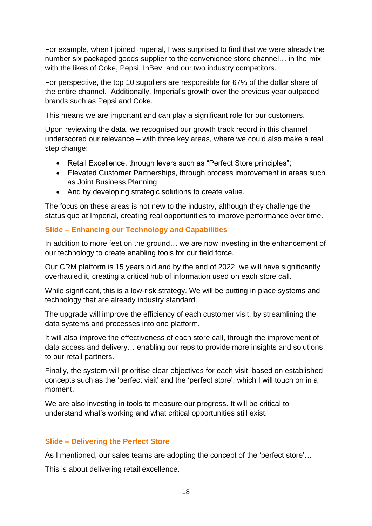For example, when I joined Imperial, I was surprised to find that we were already the number six packaged goods supplier to the convenience store channel… in the mix with the likes of Coke, Pepsi, InBev, and our two industry competitors.

For perspective, the top 10 suppliers are responsible for 67% of the dollar share of the entire channel. Additionally, Imperial's growth over the previous year outpaced brands such as Pepsi and Coke.

This means we are important and can play a significant role for our customers.

Upon reviewing the data, we recognised our growth track record in this channel underscored our relevance – with three key areas, where we could also make a real step change:

- Retail Excellence, through levers such as "Perfect Store principles";
- Elevated Customer Partnerships, through process improvement in areas such as Joint Business Planning;
- And by developing strategic solutions to create value.

The focus on these areas is not new to the industry, although they challenge the status quo at Imperial, creating real opportunities to improve performance over time.

# **Slide – Enhancing our Technology and Capabilities**

In addition to more feet on the ground... we are now investing in the enhancement of our technology to create enabling tools for our field force.

Our CRM platform is 15 years old and by the end of 2022, we will have significantly overhauled it, creating a critical hub of information used on each store call.

While significant, this is a low-risk strategy. We will be putting in place systems and technology that are already industry standard.

The upgrade will improve the efficiency of each customer visit, by streamlining the data systems and processes into one platform.

It will also improve the effectiveness of each store call, through the improvement of data access and delivery… enabling our reps to provide more insights and solutions to our retail partners.

Finally, the system will prioritise clear objectives for each visit, based on established concepts such as the 'perfect visit' and the 'perfect store', which I will touch on in a moment.

We are also investing in tools to measure our progress. It will be critical to understand what's working and what critical opportunities still exist.

# **Slide – Delivering the Perfect Store**

As I mentioned, our sales teams are adopting the concept of the 'perfect store'…

This is about delivering retail excellence.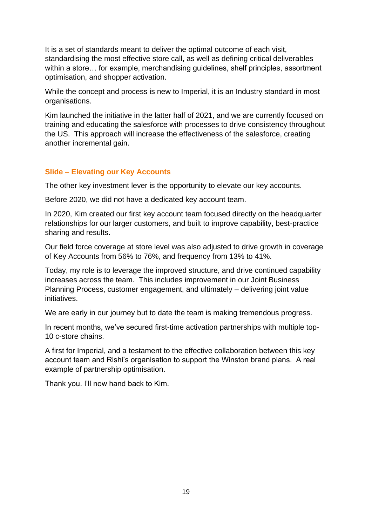It is a set of standards meant to deliver the optimal outcome of each visit, standardising the most effective store call, as well as defining critical deliverables within a store… for example, merchandising guidelines, shelf principles, assortment optimisation, and shopper activation.

While the concept and process is new to Imperial, it is an Industry standard in most organisations.

Kim launched the initiative in the latter half of 2021, and we are currently focused on training and educating the salesforce with processes to drive consistency throughout the US. This approach will increase the effectiveness of the salesforce, creating another incremental gain.

# **Slide – Elevating our Key Accounts**

The other key investment lever is the opportunity to elevate our key accounts.

Before 2020, we did not have a dedicated key account team.

In 2020, Kim created our first key account team focused directly on the headquarter relationships for our larger customers, and built to improve capability, best-practice sharing and results.

Our field force coverage at store level was also adjusted to drive growth in coverage of Key Accounts from 56% to 76%, and frequency from 13% to 41%.

Today, my role is to leverage the improved structure, and drive continued capability increases across the team. This includes improvement in our Joint Business Planning Process, customer engagement, and ultimately – delivering joint value initiatives.

We are early in our journey but to date the team is making tremendous progress.

In recent months, we've secured first-time activation partnerships with multiple top-10 c-store chains.

A first for Imperial, and a testament to the effective collaboration between this key account team and Rishi's organisation to support the Winston brand plans. A real example of partnership optimisation.

Thank you. I'll now hand back to Kim.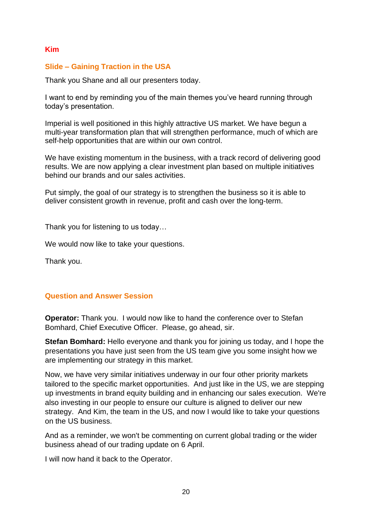# **Kim**

## **Slide – Gaining Traction in the USA**

Thank you Shane and all our presenters today.

I want to end by reminding you of the main themes you've heard running through today's presentation.

Imperial is well positioned in this highly attractive US market. We have begun a multi-year transformation plan that will strengthen performance, much of which are self-help opportunities that are within our own control.

We have existing momentum in the business, with a track record of delivering good results. We are now applying a clear investment plan based on multiple initiatives behind our brands and our sales activities.

Put simply, the goal of our strategy is to strengthen the business so it is able to deliver consistent growth in revenue, profit and cash over the long-term.

Thank you for listening to us today…

We would now like to take your questions.

Thank you.

### **Question and Answer Session**

**Operator:** Thank you. I would now like to hand the conference over to Stefan Bomhard, Chief Executive Officer. Please, go ahead, sir.

**Stefan Bomhard:** Hello everyone and thank you for joining us today, and I hope the presentations you have just seen from the US team give you some insight how we are implementing our strategy in this market.

Now, we have very similar initiatives underway in our four other priority markets tailored to the specific market opportunities. And just like in the US, we are stepping up investments in brand equity building and in enhancing our sales execution. We're also investing in our people to ensure our culture is aligned to deliver our new strategy. And Kim, the team in the US, and now I would like to take your questions on the US business.

And as a reminder, we won't be commenting on current global trading or the wider business ahead of our trading update on 6 April.

I will now hand it back to the Operator.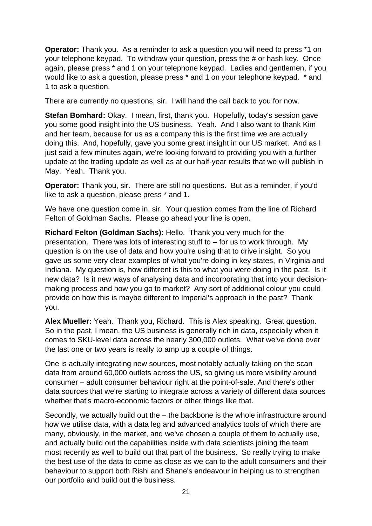**Operator:** Thank you. As a reminder to ask a question you will need to press \*1 on your telephone keypad. To withdraw your question, press the # or hash key. Once again, please press \* and 1 on your telephone keypad. Ladies and gentlemen, if you would like to ask a question, please press \* and 1 on your telephone keypad. \* and 1 to ask a question.

There are currently no questions, sir. I will hand the call back to you for now.

**Stefan Bomhard:** Okay. I mean, first, thank you. Hopefully, today's session gave you some good insight into the US business. Yeah. And I also want to thank Kim and her team, because for us as a company this is the first time we are actually doing this. And, hopefully, gave you some great insight in our US market. And as I just said a few minutes again, we're looking forward to providing you with a further update at the trading update as well as at our half-year results that we will publish in May. Yeah. Thank you.

**Operator:** Thank you, sir. There are still no questions. But as a reminder, if you'd like to ask a question, please press \* and 1.

We have one question come in, sir. Your question comes from the line of Richard Felton of Goldman Sachs. Please go ahead your line is open.

**Richard Felton (Goldman Sachs):** Hello. Thank you very much for the presentation. There was lots of interesting stuff to – for us to work through. My question is on the use of data and how you're using that to drive insight. So you gave us some very clear examples of what you're doing in key states, in Virginia and Indiana. My question is, how different is this to what you were doing in the past. Is it new data? Is it new ways of analysing data and incorporating that into your decisionmaking process and how you go to market? Any sort of additional colour you could provide on how this is maybe different to Imperial's approach in the past? Thank you.

**Alex Mueller:** Yeah. Thank you, Richard. This is Alex speaking. Great question. So in the past, I mean, the US business is generally rich in data, especially when it comes to SKU-level data across the nearly 300,000 outlets. What we've done over the last one or two years is really to amp up a couple of things.

One is actually integrating new sources, most notably actually taking on the scan data from around 60,000 outlets across the US, so giving us more visibility around consumer – adult consumer behaviour right at the point-of-sale. And there's other data sources that we're starting to integrate across a variety of different data sources whether that's macro-economic factors or other things like that.

Secondly, we actually build out the – the backbone is the whole infrastructure around how we utilise data, with a data leg and advanced analytics tools of which there are many, obviously, in the market, and we've chosen a couple of them to actually use, and actually build out the capabilities inside with data scientists joining the team most recently as well to build out that part of the business. So really trying to make the best use of the data to come as close as we can to the adult consumers and their behaviour to support both Rishi and Shane's endeavour in helping us to strengthen our portfolio and build out the business.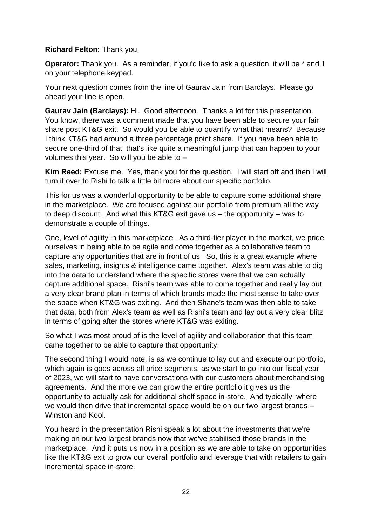# **Richard Felton:** Thank you.

**Operator:** Thank you. As a reminder, if you'd like to ask a question, it will be \* and 1 on your telephone keypad.

Your next question comes from the line of Gaurav Jain from Barclays. Please go ahead your line is open.

**Gaurav Jain (Barclays):** Hi. Good afternoon. Thanks a lot for this presentation. You know, there was a comment made that you have been able to secure your fair share post KT&G exit. So would you be able to quantify what that means? Because I think KT&G had around a three percentage point share. If you have been able to secure one-third of that, that's like quite a meaningful jump that can happen to your volumes this year. So will you be able to –

**Kim Reed:** Excuse me. Yes, thank you for the question. I will start off and then I will turn it over to Rishi to talk a little bit more about our specific portfolio.

This for us was a wonderful opportunity to be able to capture some additional share in the marketplace. We are focused against our portfolio from premium all the way to deep discount. And what this KT&G exit gave us – the opportunity – was to demonstrate a couple of things.

One, level of agility in this marketplace. As a third-tier player in the market, we pride ourselves in being able to be agile and come together as a collaborative team to capture any opportunities that are in front of us. So, this is a great example where sales, marketing, insights & intelligence came together. Alex's team was able to dig into the data to understand where the specific stores were that we can actually capture additional space. Rishi's team was able to come together and really lay out a very clear brand plan in terms of which brands made the most sense to take over the space when KT&G was exiting. And then Shane's team was then able to take that data, both from Alex's team as well as Rishi's team and lay out a very clear blitz in terms of going after the stores where KT&G was exiting.

So what I was most proud of is the level of agility and collaboration that this team came together to be able to capture that opportunity.

The second thing I would note, is as we continue to lay out and execute our portfolio, which again is goes across all price segments, as we start to go into our fiscal year of 2023, we will start to have conversations with our customers about merchandising agreements. And the more we can grow the entire portfolio it gives us the opportunity to actually ask for additional shelf space in-store. And typically, where we would then drive that incremental space would be on our two largest brands – Winston and Kool.

You heard in the presentation Rishi speak a lot about the investments that we're making on our two largest brands now that we've stabilised those brands in the marketplace. And it puts us now in a position as we are able to take on opportunities like the KT&G exit to grow our overall portfolio and leverage that with retailers to gain incremental space in-store.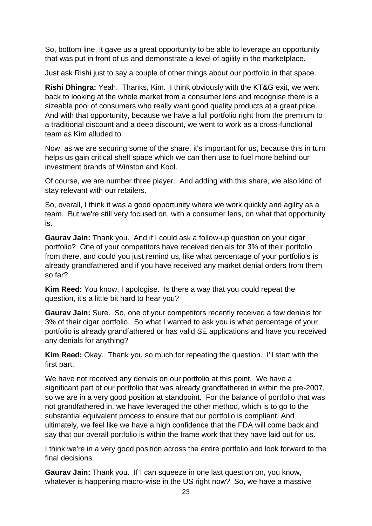So, bottom line, it gave us a great opportunity to be able to leverage an opportunity that was put in front of us and demonstrate a level of agility in the marketplace.

Just ask Rishi just to say a couple of other things about our portfolio in that space.

**Rishi Dhingra:** Yeah. Thanks, Kim. I think obviously with the KT&G exit, we went back to looking at the whole market from a consumer lens and recognise there is a sizeable pool of consumers who really want good quality products at a great price. And with that opportunity, because we have a full portfolio right from the premium to a traditional discount and a deep discount, we went to work as a cross-functional team as Kim alluded to.

Now, as we are securing some of the share, it's important for us, because this in turn helps us gain critical shelf space which we can then use to fuel more behind our investment brands of Winston and Kool.

Of course, we are number three player. And adding with this share, we also kind of stay relevant with our retailers.

So, overall, I think it was a good opportunity where we work quickly and agility as a team. But we're still very focused on, with a consumer lens, on what that opportunity is.

**Gaurav Jain:** Thank you. And if I could ask a follow-up question on your cigar portfolio? One of your competitors have received denials for 3% of their portfolio from there, and could you just remind us, like what percentage of your portfolio's is already grandfathered and if you have received any market denial orders from them so far?

**Kim Reed:** You know, I apologise. Is there a way that you could repeat the question, it's a little bit hard to hear you?

**Gaurav Jain:** Sure. So, one of your competitors recently received a few denials for 3% of their cigar portfolio. So what I wanted to ask you is what percentage of your portfolio is already grandfathered or has valid SE applications and have you received any denials for anything?

**Kim Reed:** Okay. Thank you so much for repeating the question. I'll start with the first part.

We have not received any denials on our portfolio at this point. We have a significant part of our portfolio that was already grandfathered in within the pre-2007, so we are in a very good position at standpoint. For the balance of portfolio that was not grandfathered in, we have leveraged the other method, which is to go to the substantial equivalent process to ensure that our portfolio is compliant. And ultimately, we feel like we have a high confidence that the FDA will come back and say that our overall portfolio is within the frame work that they have laid out for us.

I think we're in a very good position across the entire portfolio and look forward to the final decisions.

**Gaurav Jain:** Thank you. If I can squeeze in one last question on, you know, whatever is happening macro-wise in the US right now? So, we have a massive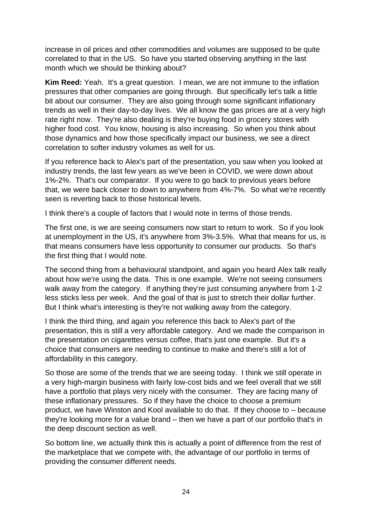increase in oil prices and other commodities and volumes are supposed to be quite correlated to that in the US. So have you started observing anything in the last month which we should be thinking about?

**Kim Reed:** Yeah. It's a great question. I mean, we are not immune to the inflation pressures that other companies are going through. But specifically let's talk a little bit about our consumer. They are also going through some significant inflationary trends as well in their day-to-day lives. We all know the gas prices are at a very high rate right now. They're also dealing is they're buying food in grocery stores with higher food cost. You know, housing is also increasing. So when you think about those dynamics and how those specifically impact our business, we see a direct correlation to softer industry volumes as well for us.

If you reference back to Alex's part of the presentation, you saw when you looked at industry trends, the last few years as we've been in COVID, we were down about 1%-2%. That's our comparator. If you were to go back to previous years before that, we were back closer to down to anywhere from 4%-7%. So what we're recently seen is reverting back to those historical levels.

I think there's a couple of factors that I would note in terms of those trends.

The first one, is we are seeing consumers now start to return to work. So if you look at unemployment in the US, it's anywhere from 3%-3.5%. What that means for us, is that means consumers have less opportunity to consumer our products. So that's the first thing that I would note.

The second thing from a behavioural standpoint, and again you heard Alex talk really about how we're using the data. This is one example. We're not seeing consumers walk away from the category. If anything they're just consuming anywhere from 1-2 less sticks less per week. And the goal of that is just to stretch their dollar further. But I think what's interesting is they're not walking away from the category.

I think the third thing, and again you reference this back to Alex's part of the presentation, this is still a very affordable category. And we made the comparison in the presentation on cigarettes versus coffee, that's just one example. But it's a choice that consumers are needing to continue to make and there's still a lot of affordability in this category.

So those are some of the trends that we are seeing today. I think we still operate in a very high-margin business with fairly low-cost bids and we feel overall that we still have a portfolio that plays very nicely with the consumer. They are facing many of these inflationary pressures. So if they have the choice to choose a premium product, we have Winston and Kool available to do that. If they choose to – because they're looking more for a value brand – then we have a part of our portfolio that's in the deep discount section as well.

So bottom line, we actually think this is actually a point of difference from the rest of the marketplace that we compete with, the advantage of our portfolio in terms of providing the consumer different needs.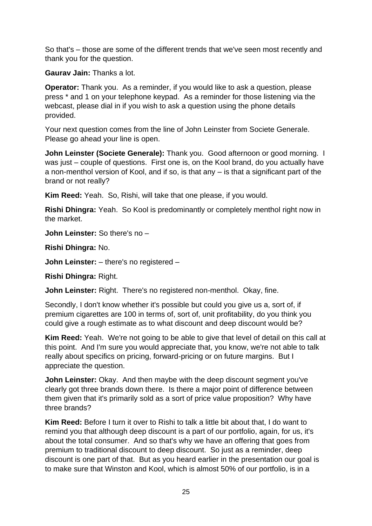So that's – those are some of the different trends that we've seen most recently and thank you for the question.

**Gaurav Jain:** Thanks a lot.

**Operator:** Thank you. As a reminder, if you would like to ask a question, please press \* and 1 on your telephone keypad. As a reminder for those listening via the webcast, please dial in if you wish to ask a question using the phone details provided.

Your next question comes from the line of John Leinster from Societe Generale. Please go ahead your line is open.

**John Leinster (Societe Generale):** Thank you. Good afternoon or good morning. I was just – couple of questions. First one is, on the Kool brand, do you actually have a non-menthol version of Kool, and if so, is that any – is that a significant part of the brand or not really?

**Kim Reed:** Yeah. So, Rishi, will take that one please, if you would.

**Rishi Dhingra:** Yeah. So Kool is predominantly or completely menthol right now in the market.

**John Leinster:** So there's no –

**Rishi Dhingra:** No.

**John Leinster:** – there's no registered –

**Rishi Dhingra:** Right.

**John Leinster:** Right. There's no registered non-menthol. Okay, fine.

Secondly, I don't know whether it's possible but could you give us a, sort of, if premium cigarettes are 100 in terms of, sort of, unit profitability, do you think you could give a rough estimate as to what discount and deep discount would be?

**Kim Reed:** Yeah. We're not going to be able to give that level of detail on this call at this point. And I'm sure you would appreciate that, you know, we're not able to talk really about specifics on pricing, forward-pricing or on future margins. But I appreciate the question.

**John Leinster:** Okay. And then maybe with the deep discount segment you've clearly got three brands down there. Is there a major point of difference between them given that it's primarily sold as a sort of price value proposition? Why have three brands?

**Kim Reed:** Before I turn it over to Rishi to talk a little bit about that, I do want to remind you that although deep discount is a part of our portfolio, again, for us, it's about the total consumer. And so that's why we have an offering that goes from premium to traditional discount to deep discount. So just as a reminder, deep discount is one part of that. But as you heard earlier in the presentation our goal is to make sure that Winston and Kool, which is almost 50% of our portfolio, is in a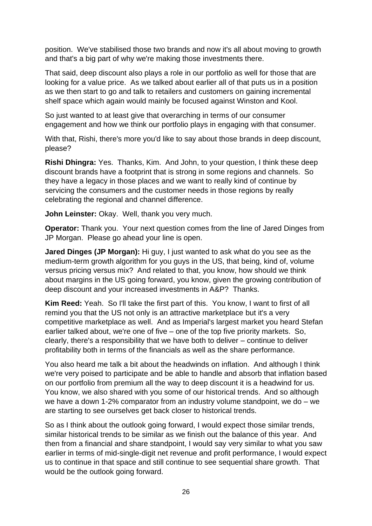position. We've stabilised those two brands and now it's all about moving to growth and that's a big part of why we're making those investments there.

That said, deep discount also plays a role in our portfolio as well for those that are looking for a value price. As we talked about earlier all of that puts us in a position as we then start to go and talk to retailers and customers on gaining incremental shelf space which again would mainly be focused against Winston and Kool.

So just wanted to at least give that overarching in terms of our consumer engagement and how we think our portfolio plays in engaging with that consumer.

With that, Rishi, there's more you'd like to say about those brands in deep discount, please?

**Rishi Dhingra:** Yes. Thanks, Kim. And John, to your question, I think these deep discount brands have a footprint that is strong in some regions and channels. So they have a legacy in those places and we want to really kind of continue by servicing the consumers and the customer needs in those regions by really celebrating the regional and channel difference.

**John Leinster:** Okay. Well, thank you very much.

**Operator:** Thank you. Your next question comes from the line of Jared Dinges from JP Morgan. Please go ahead your line is open.

**Jared Dinges (JP Morgan):** Hi guy, I just wanted to ask what do you see as the medium-term growth algorithm for you guys in the US, that being, kind of, volume versus pricing versus mix? And related to that, you know, how should we think about margins in the US going forward, you know, given the growing contribution of deep discount and your increased investments in A&P? Thanks.

**Kim Reed:** Yeah. So I'll take the first part of this. You know, I want to first of all remind you that the US not only is an attractive marketplace but it's a very competitive marketplace as well. And as Imperial's largest market you heard Stefan earlier talked about, we're one of five – one of the top five priority markets. So, clearly, there's a responsibility that we have both to deliver – continue to deliver profitability both in terms of the financials as well as the share performance.

You also heard me talk a bit about the headwinds on inflation. And although I think we're very poised to participate and be able to handle and absorb that inflation based on our portfolio from premium all the way to deep discount it is a headwind for us. You know, we also shared with you some of our historical trends. And so although we have a down 1-2% comparator from an industry volume standpoint, we do – we are starting to see ourselves get back closer to historical trends.

So as I think about the outlook going forward, I would expect those similar trends, similar historical trends to be similar as we finish out the balance of this year. And then from a financial and share standpoint, I would say very similar to what you saw earlier in terms of mid-single-digit net revenue and profit performance, I would expect us to continue in that space and still continue to see sequential share growth. That would be the outlook going forward.